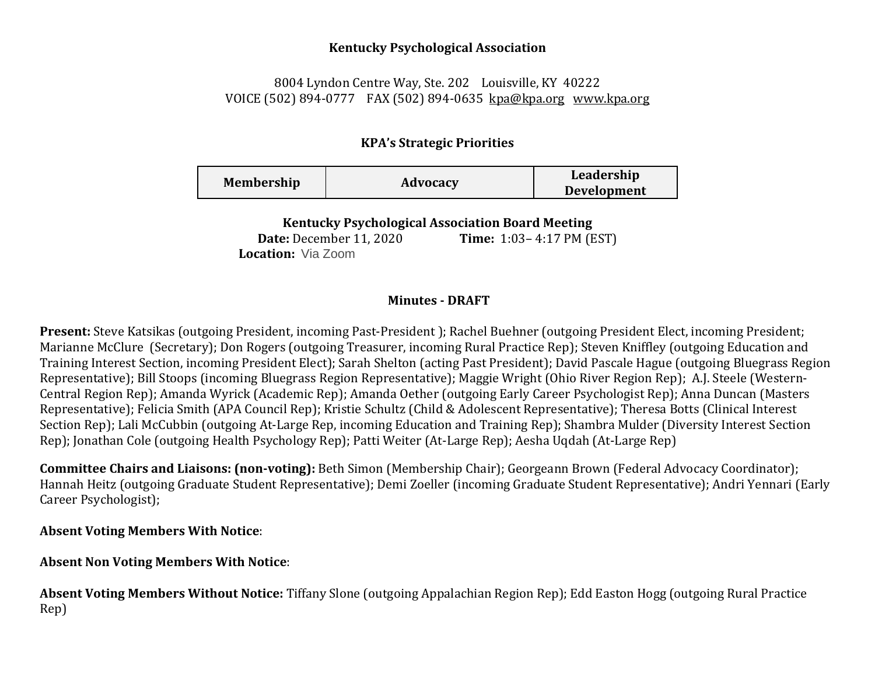#### **Kentucky Psychological Association**

## 8004 Lyndon Centre Way, Ste. 202 Louisville, KY 40222 VOICE (502) 894-0777 FAX (502) 894-0635 [kpa@kpa.org](mailto:kpa@kih.net) [www.kpa.org](http://www.kpa.org/)

## **KPA's Strategic Priorities**

| <b>Membership</b> | Advocacy | Leadership<br><b>Development</b> |
|-------------------|----------|----------------------------------|
|-------------------|----------|----------------------------------|

**Kentucky Psychological Association Board Meeting** 

**Date:** December 11, 2020 **Time:** 1:03– 4:17 PM (EST) **Location:** Via Zoom

### **Minutes - DRAFT**

**Present:** Steve Katsikas (outgoing President, incoming Past-President ); Rachel Buehner (outgoing President Elect, incoming President; Marianne McClure(Secretary); Don Rogers (outgoing Treasurer, incoming Rural Practice Rep); Steven Kniffley (outgoing Education and Training Interest Section, incoming President Elect); Sarah Shelton (acting Past President); David Pascale Hague (outgoing Bluegrass Region Representative); Bill Stoops (incoming Bluegrass Region Representative); Maggie Wright (Ohio River Region Rep); A.J. Steele (Western-Central Region Rep); Amanda Wyrick (Academic Rep); Amanda Oether (outgoing Early Career Psychologist Rep); Anna Duncan (Masters Representative); Felicia Smith (APA Council Rep); Kristie Schultz (Child & Adolescent Representative); Theresa Botts (Clinical Interest Section Rep); Lali McCubbin (outgoing At-Large Rep, incoming Education and Training Rep); Shambra Mulder (Diversity Interest Section Rep); Jonathan Cole (outgoing Health Psychology Rep); Patti Weiter (At-Large Rep); Aesha Uqdah (At-Large Rep)

**Committee Chairs and Liaisons: (non-voting):** Beth Simon (Membership Chair); Georgeann Brown (Federal Advocacy Coordinator); Hannah Heitz (outgoing Graduate Student Representative); Demi Zoeller (incoming Graduate Student Representative); Andri Yennari (Early Career Psychologist);

## **Absent Voting Members With Notice**:

# **Absent Non Voting Members With Notice**:

**Absent Voting Members Without Notice:** Tiffany Slone (outgoing Appalachian Region Rep); Edd Easton Hogg (outgoing Rural Practice Rep)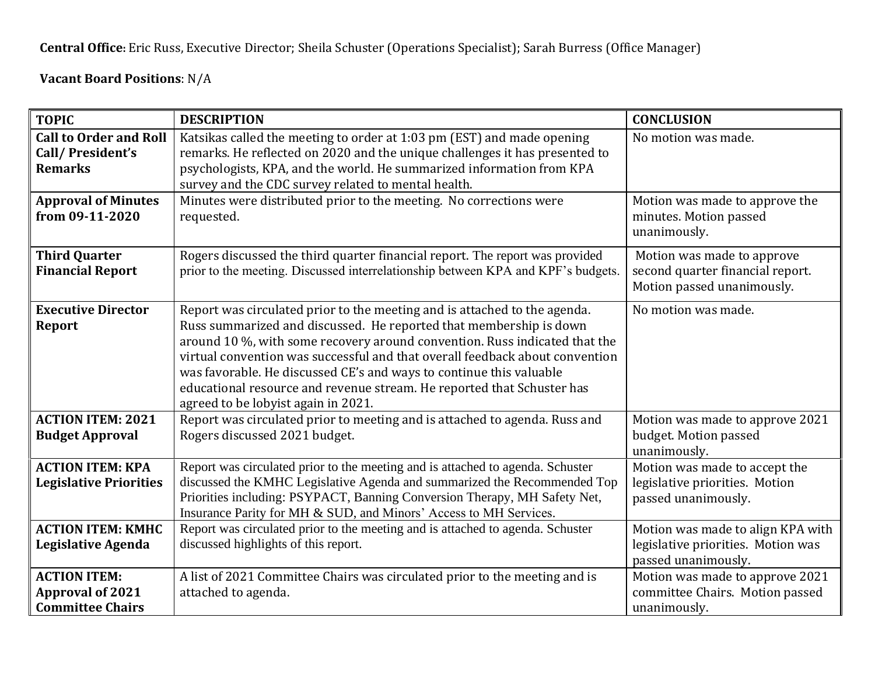**Central Office:** Eric Russ, Executive Director; Sheila Schuster (Operations Specialist); Sarah Burress (Office Manager)

**Vacant Board Positions**: N/A

| <b>TOPIC</b>                                                              | <b>DESCRIPTION</b>                                                                                                                                                                                                                                                                                                                                                                                                                                                                                    | <b>CONCLUSION</b>                                                                              |
|---------------------------------------------------------------------------|-------------------------------------------------------------------------------------------------------------------------------------------------------------------------------------------------------------------------------------------------------------------------------------------------------------------------------------------------------------------------------------------------------------------------------------------------------------------------------------------------------|------------------------------------------------------------------------------------------------|
| <b>Call to Order and Roll</b><br>Call/President's<br><b>Remarks</b>       | Katsikas called the meeting to order at 1:03 pm (EST) and made opening<br>remarks. He reflected on 2020 and the unique challenges it has presented to<br>psychologists, KPA, and the world. He summarized information from KPA<br>survey and the CDC survey related to mental health.                                                                                                                                                                                                                 | No motion was made.                                                                            |
| <b>Approval of Minutes</b><br>from 09-11-2020                             | Minutes were distributed prior to the meeting. No corrections were<br>requested.                                                                                                                                                                                                                                                                                                                                                                                                                      | Motion was made to approve the<br>minutes. Motion passed<br>unanimously.                       |
| <b>Third Quarter</b><br><b>Financial Report</b>                           | Rogers discussed the third quarter financial report. The report was provided<br>prior to the meeting. Discussed interrelationship between KPA and KPF's budgets.                                                                                                                                                                                                                                                                                                                                      | Motion was made to approve<br>second quarter financial report.<br>Motion passed unanimously.   |
| <b>Executive Director</b><br><b>Report</b>                                | Report was circulated prior to the meeting and is attached to the agenda.<br>Russ summarized and discussed. He reported that membership is down<br>around 10 %, with some recovery around convention. Russ indicated that the<br>virtual convention was successful and that overall feedback about convention<br>was favorable. He discussed CE's and ways to continue this valuable<br>educational resource and revenue stream. He reported that Schuster has<br>agreed to be lobyist again in 2021. | No motion was made.                                                                            |
| <b>ACTION ITEM: 2021</b><br><b>Budget Approval</b>                        | Report was circulated prior to meeting and is attached to agenda. Russ and<br>Rogers discussed 2021 budget.                                                                                                                                                                                                                                                                                                                                                                                           | Motion was made to approve 2021<br>budget. Motion passed<br>unanimously.                       |
| <b>ACTION ITEM: KPA</b><br><b>Legislative Priorities</b>                  | Report was circulated prior to the meeting and is attached to agenda. Schuster<br>discussed the KMHC Legislative Agenda and summarized the Recommended Top<br>Priorities including: PSYPACT, Banning Conversion Therapy, MH Safety Net,<br>Insurance Parity for MH & SUD, and Minors' Access to MH Services.                                                                                                                                                                                          | Motion was made to accept the<br>legislative priorities. Motion<br>passed unanimously.         |
| <b>ACTION ITEM: KMHC</b><br>Legislative Agenda                            | Report was circulated prior to the meeting and is attached to agenda. Schuster<br>discussed highlights of this report.                                                                                                                                                                                                                                                                                                                                                                                | Motion was made to align KPA with<br>legislative priorities. Motion was<br>passed unanimously. |
| <b>ACTION ITEM:</b><br><b>Approval of 2021</b><br><b>Committee Chairs</b> | A list of 2021 Committee Chairs was circulated prior to the meeting and is<br>attached to agenda.                                                                                                                                                                                                                                                                                                                                                                                                     | Motion was made to approve 2021<br>committee Chairs. Motion passed<br>unanimously.             |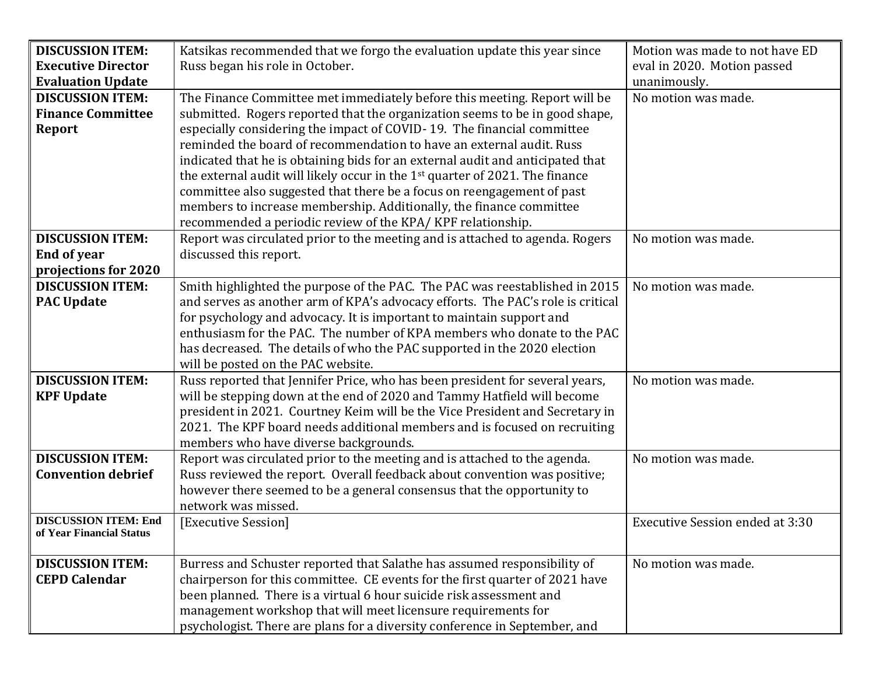| <b>DISCUSSION ITEM:</b>                    | Katsikas recommended that we forgo the evaluation update this year since                 | Motion was made to not have ED         |
|--------------------------------------------|------------------------------------------------------------------------------------------|----------------------------------------|
| <b>Executive Director</b>                  | Russ began his role in October.                                                          | eval in 2020. Motion passed            |
| <b>Evaluation Update</b>                   |                                                                                          | unanimously.                           |
| <b>DISCUSSION ITEM:</b>                    | The Finance Committee met immediately before this meeting. Report will be                | No motion was made.                    |
| <b>Finance Committee</b>                   | submitted. Rogers reported that the organization seems to be in good shape,              |                                        |
| Report                                     | especially considering the impact of COVID-19. The financial committee                   |                                        |
|                                            | reminded the board of recommendation to have an external audit. Russ                     |                                        |
|                                            | indicated that he is obtaining bids for an external audit and anticipated that           |                                        |
|                                            | the external audit will likely occur in the 1 <sup>st</sup> quarter of 2021. The finance |                                        |
|                                            | committee also suggested that there be a focus on reengagement of past                   |                                        |
|                                            | members to increase membership. Additionally, the finance committee                      |                                        |
|                                            | recommended a periodic review of the KPA/KPF relationship.                               |                                        |
| <b>DISCUSSION ITEM:</b>                    | Report was circulated prior to the meeting and is attached to agenda. Rogers             | No motion was made.                    |
| <b>End of year</b><br>projections for 2020 | discussed this report.                                                                   |                                        |
| <b>DISCUSSION ITEM:</b>                    | Smith highlighted the purpose of the PAC. The PAC was reestablished in 2015              | No motion was made.                    |
| <b>PAC Update</b>                          | and serves as another arm of KPA's advocacy efforts. The PAC's role is critical          |                                        |
|                                            | for psychology and advocacy. It is important to maintain support and                     |                                        |
|                                            | enthusiasm for the PAC. The number of KPA members who donate to the PAC                  |                                        |
|                                            | has decreased. The details of who the PAC supported in the 2020 election                 |                                        |
|                                            | will be posted on the PAC website.                                                       |                                        |
| <b>DISCUSSION ITEM:</b>                    | Russ reported that Jennifer Price, who has been president for several years,             | No motion was made.                    |
| <b>KPF Update</b>                          | will be stepping down at the end of 2020 and Tammy Hatfield will become                  |                                        |
|                                            | president in 2021. Courtney Keim will be the Vice President and Secretary in             |                                        |
|                                            | 2021. The KPF board needs additional members and is focused on recruiting                |                                        |
|                                            | members who have diverse backgrounds.                                                    |                                        |
| <b>DISCUSSION ITEM:</b>                    | Report was circulated prior to the meeting and is attached to the agenda.                | No motion was made.                    |
| <b>Convention debrief</b>                  | Russ reviewed the report. Overall feedback about convention was positive;                |                                        |
|                                            | however there seemed to be a general consensus that the opportunity to                   |                                        |
|                                            | network was missed.                                                                      |                                        |
| <b>DISCUSSION ITEM: End</b>                | [Executive Session]                                                                      | <b>Executive Session ended at 3:30</b> |
| of Year Financial Status                   |                                                                                          |                                        |
|                                            |                                                                                          |                                        |
| <b>DISCUSSION ITEM:</b>                    | Burress and Schuster reported that Salathe has assumed responsibility of                 | No motion was made.                    |
| <b>CEPD Calendar</b>                       | chairperson for this committee. CE events for the first quarter of 2021 have             |                                        |
|                                            | been planned. There is a virtual 6 hour suicide risk assessment and                      |                                        |
|                                            | management workshop that will meet licensure requirements for                            |                                        |
|                                            | psychologist. There are plans for a diversity conference in September, and               |                                        |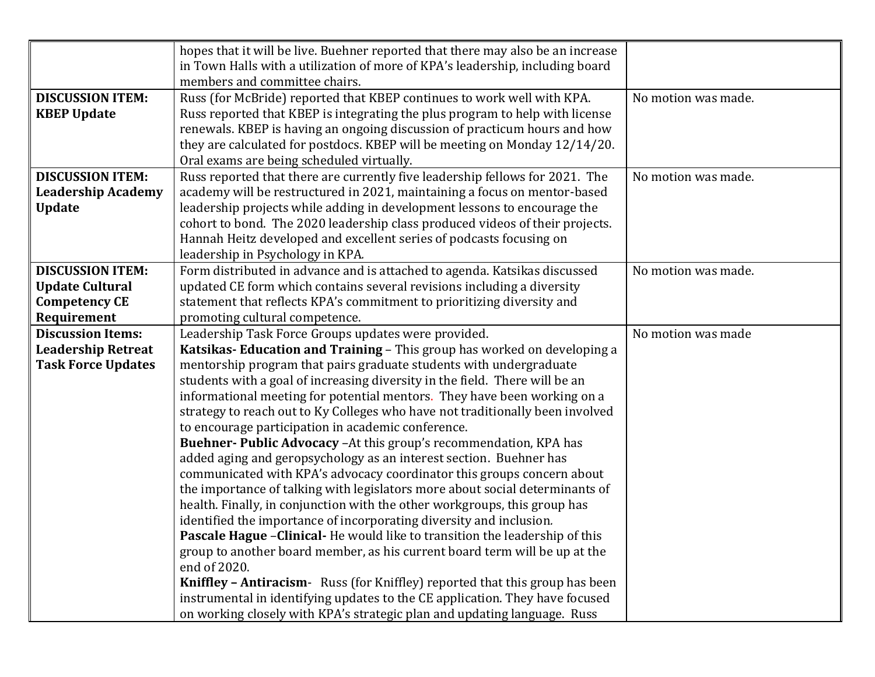|                           | hopes that it will be live. Buehner reported that there may also be an increase                                                                          |                     |
|---------------------------|----------------------------------------------------------------------------------------------------------------------------------------------------------|---------------------|
|                           | in Town Halls with a utilization of more of KPA's leadership, including board                                                                            |                     |
|                           | members and committee chairs.                                                                                                                            |                     |
| <b>DISCUSSION ITEM:</b>   | Russ (for McBride) reported that KBEP continues to work well with KPA.                                                                                   | No motion was made. |
| <b>KBEP Update</b>        | Russ reported that KBEP is integrating the plus program to help with license                                                                             |                     |
|                           | renewals. KBEP is having an ongoing discussion of practicum hours and how                                                                                |                     |
|                           | they are calculated for postdocs. KBEP will be meeting on Monday 12/14/20.                                                                               |                     |
|                           | Oral exams are being scheduled virtually.                                                                                                                |                     |
| <b>DISCUSSION ITEM:</b>   | Russ reported that there are currently five leadership fellows for 2021. The                                                                             | No motion was made. |
| <b>Leadership Academy</b> | academy will be restructured in 2021, maintaining a focus on mentor-based                                                                                |                     |
| <b>Update</b>             | leadership projects while adding in development lessons to encourage the                                                                                 |                     |
|                           | cohort to bond. The 2020 leadership class produced videos of their projects.                                                                             |                     |
|                           | Hannah Heitz developed and excellent series of podcasts focusing on                                                                                      |                     |
|                           | leadership in Psychology in KPA.                                                                                                                         |                     |
| <b>DISCUSSION ITEM:</b>   | Form distributed in advance and is attached to agenda. Katsikas discussed                                                                                | No motion was made. |
| <b>Update Cultural</b>    | updated CE form which contains several revisions including a diversity                                                                                   |                     |
| <b>Competency CE</b>      | statement that reflects KPA's commitment to prioritizing diversity and                                                                                   |                     |
| Requirement               | promoting cultural competence.                                                                                                                           |                     |
| <b>Discussion Items:</b>  | Leadership Task Force Groups updates were provided.                                                                                                      | No motion was made  |
| <b>Leadership Retreat</b> | Katsikas- Education and Training - This group has worked on developing a                                                                                 |                     |
| <b>Task Force Updates</b> | mentorship program that pairs graduate students with undergraduate                                                                                       |                     |
|                           | students with a goal of increasing diversity in the field. There will be an                                                                              |                     |
|                           | informational meeting for potential mentors. They have been working on a                                                                                 |                     |
|                           | strategy to reach out to Ky Colleges who have not traditionally been involved                                                                            |                     |
|                           | to encourage participation in academic conference.                                                                                                       |                     |
|                           | Buehner- Public Advocacy - At this group's recommendation, KPA has                                                                                       |                     |
|                           | added aging and geropsychology as an interest section. Buehner has                                                                                       |                     |
|                           | communicated with KPA's advocacy coordinator this groups concern about                                                                                   |                     |
|                           | the importance of talking with legislators more about social determinants of                                                                             |                     |
|                           | health. Finally, in conjunction with the other workgroups, this group has                                                                                |                     |
|                           | identified the importance of incorporating diversity and inclusion.                                                                                      |                     |
|                           | Pascale Hague - Clinical- He would like to transition the leadership of this                                                                             |                     |
|                           | group to another board member, as his current board term will be up at the                                                                               |                     |
|                           |                                                                                                                                                          |                     |
|                           | end of 2020.                                                                                                                                             |                     |
|                           | Kniffley - Antiracism- Russ (for Kniffley) reported that this group has been                                                                             |                     |
|                           | instrumental in identifying updates to the CE application. They have focused<br>on working closely with KPA's strategic plan and updating language. Russ |                     |